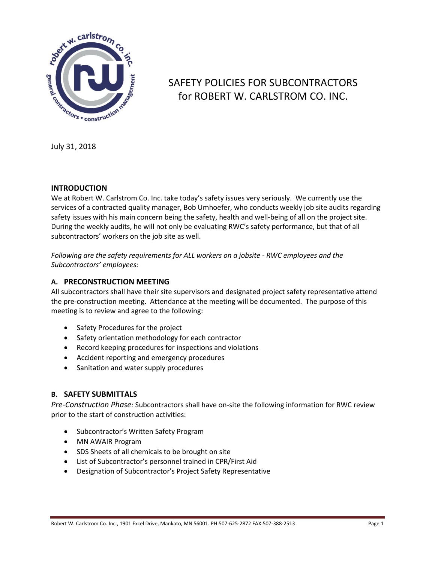

# SAFETY POLICIES FOR SUBCONTRACTORS for ROBERT W. CARLSTROM CO. INC.

July 31, 2018

## **INTRODUCTION**

We at Robert W. Carlstrom Co. Inc. take today's safety issues very seriously. We currently use the services of a contracted quality manager, Bob Umhoefer, who conducts weekly job site audits regarding safety issues with his main concern being the safety, health and well-being of all on the project site. During the weekly audits, he will not only be evaluating RWC's safety performance, but that of all subcontractors' workers on the job site as well.

*Following are the safety requirements for ALL workers on a jobsite - RWC employees and the Subcontractors' employees:*

## **A. PRECONSTRUCTION MEETING**

All subcontractors shall have their site supervisors and designated project safety representative attend the pre-construction meeting. Attendance at the meeting will be documented. The purpose of this meeting is to review and agree to the following:

- Safety Procedures for the project
- Safety orientation methodology for each contractor
- Record keeping procedures for inspections and violations
- Accident reporting and emergency procedures
- Sanitation and water supply procedures

## **B. SAFETY SUBMITTALS**

*Pre-Construction Phase:* Subcontractors shall have on-site the following information for RWC review prior to the start of construction activities:

- Subcontractor's Written Safety Program
- MN AWAIR Program
- SDS Sheets of all chemicals to be brought on site
- List of Subcontractor's personnel trained in CPR/First Aid
- Designation of Subcontractor's Project Safety Representative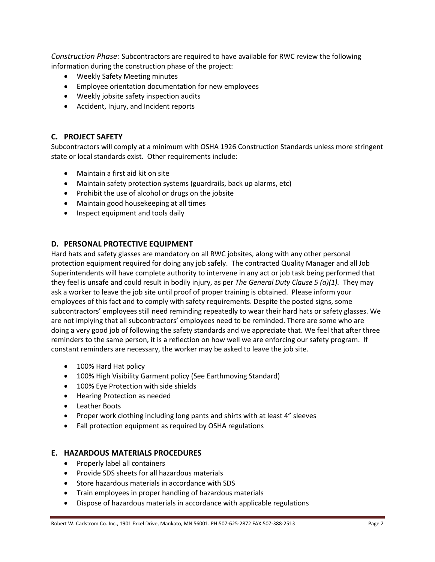*Construction Phase:* Subcontractors are required to have available for RWC review the following information during the construction phase of the project:

- Weekly Safety Meeting minutes
- Employee orientation documentation for new employees
- Weekly jobsite safety inspection audits
- Accident, Injury, and Incident reports

## **C. PROJECT SAFETY**

Subcontractors will comply at a minimum with OSHA 1926 Construction Standards unless more stringent state or local standards exist. Other requirements include:

- Maintain a first aid kit on site
- Maintain safety protection systems (guardrails, back up alarms, etc)
- Prohibit the use of alcohol or drugs on the jobsite
- Maintain good housekeeping at all times
- Inspect equipment and tools daily

#### **D. PERSONAL PROTECTIVE EQUIPMENT**

Hard hats and safety glasses are mandatory on all RWC jobsites, along with any other personal protection equipment required for doing any job safely. The contracted Quality Manager and all Job Superintendents will have complete authority to intervene in any act or job task being performed that they feel is unsafe and could result in bodily injury, as per *The General Duty Clause 5 (a)(1).* They may ask a worker to leave the job site until proof of proper training is obtained. Please inform your employees of this fact and to comply with safety requirements. Despite the posted signs, some subcontractors' employees still need reminding repeatedly to wear their hard hats or safety glasses. We are not implying that all subcontractors' employees need to be reminded. There are some who are doing a very good job of following the safety standards and we appreciate that. We feel that after three reminders to the same person, it is a reflection on how well we are enforcing our safety program. If constant reminders are necessary, the worker may be asked to leave the job site.

- 100% Hard Hat policy
- 100% High Visibility Garment policy (See Earthmoving Standard)
- 100% Eye Protection with side shields
- Hearing Protection as needed
- Leather Boots
- Proper work clothing including long pants and shirts with at least 4" sleeves
- Fall protection equipment as required by OSHA regulations

#### **E. HAZARDOUS MATERIALS PROCEDURES**

- Properly label all containers
- Provide SDS sheets for all hazardous materials
- Store hazardous materials in accordance with SDS
- Train employees in proper handling of hazardous materials
- Dispose of hazardous materials in accordance with applicable regulations